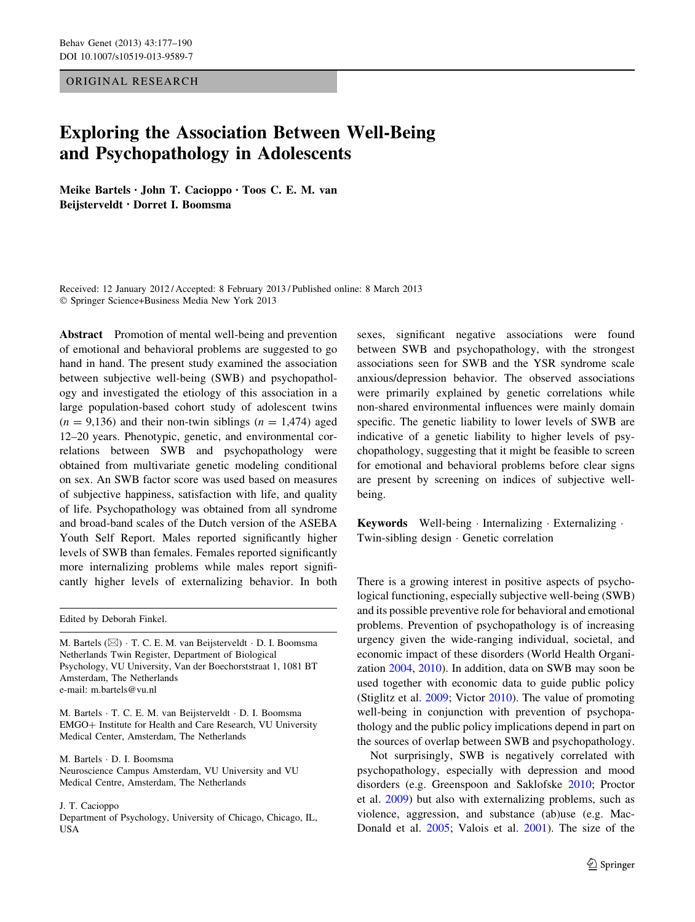ORIGINAL RESEARCH

# Exploring the Association Between Well-Being and Psychopathology in Adolescents

Meike Bartels • John T. Cacioppo • Toos C. E. M. van Beijsterveldt • Dorret I. Boomsma

Received: 12 January 2012 / Accepted: 8 February 2013 / Published online: 8 March 2013 - Springer Science+Business Media New York 2013

Abstract Promotion of mental well-being and prevention of emotional and behavioral problems are suggested to go hand in hand. The present study examined the association between subjective well-being (SWB) and psychopathology and investigated the etiology of this association in a large population-based cohort study of adolescent twins  $(n = 9,136)$  and their non-twin siblings  $(n = 1,474)$  aged 12–20 years. Phenotypic, genetic, and environmental correlations between SWB and psychopathology were obtained from multivariate genetic modeling conditional on sex. An SWB factor score was used based on measures of subjective happiness, satisfaction with life, and quality of life. Psychopathology was obtained from all syndrome and broad-band scales of the Dutch version of the ASEBA Youth Self Report. Males reported significantly higher levels of SWB than females. Females reported significantly more internalizing problems while males report significantly higher levels of externalizing behavior. In both

Edited by Deborah Finkel.

M. Bartels (⊠) · T. C. E. M. van Beijsterveldt · D. I. Boomsma Netherlands Twin Register, Department of Biological Psychology, VU University, Van der Boechorststraat 1, 1081 BT Amsterdam, The Netherlands e-mail: m.bartels@vu.nl

M. Bartels - T. C. E. M. van Beijsterveldt - D. I. Boomsma EMGO+ Institute for Health and Care Research, VU University Medical Center, Amsterdam, The Netherlands

M. Bartels - D. I. Boomsma Neuroscience Campus Amsterdam, VU University and VU Medical Centre, Amsterdam, The Netherlands

J. T. Cacioppo

Department of Psychology, University of Chicago, Chicago, IL, USA

sexes, significant negative associations were found between SWB and psychopathology, with the strongest associations seen for SWB and the YSR syndrome scale anxious/depression behavior. The observed associations were primarily explained by genetic correlations while non-shared environmental influences were mainly domain specific. The genetic liability to lower levels of SWB are indicative of a genetic liability to higher levels of psychopathology, suggesting that it might be feasible to screen for emotional and behavioral problems before clear signs are present by screening on indices of subjective wellbeing.

Keywords Well-being · Internalizing · Externalizing · Twin-sibling design - Genetic correlation

There is a growing interest in positive aspects of psychological functioning, especially subjective well-being (SWB) and its possible preventive role for behavioral and emotional problems. Prevention of psychopathology is of increasing urgency given the wide-ranging individual, societal, and economic impact of these disorders (World Health Organization [2004](#page-13-0), [2010\)](#page-13-0). In addition, data on SWB may soon be used together with economic data to guide public policy (Stiglitz et al. [2009;](#page-13-0) Victor [2010\)](#page-13-0). The value of promoting well-being in conjunction with prevention of psychopathology and the public policy implications depend in part on the sources of overlap between SWB and psychopathology.

Not surprisingly, SWB is negatively correlated with psychopathology, especially with depression and mood disorders (e.g. Greenspoon and Saklofske [2010](#page-12-0); Proctor et al. [2009](#page-13-0)) but also with externalizing problems, such as violence, aggression, and substance (ab)use (e.g. Mac-Donald et al. [2005;](#page-13-0) Valois et al. [2001](#page-13-0)). The size of the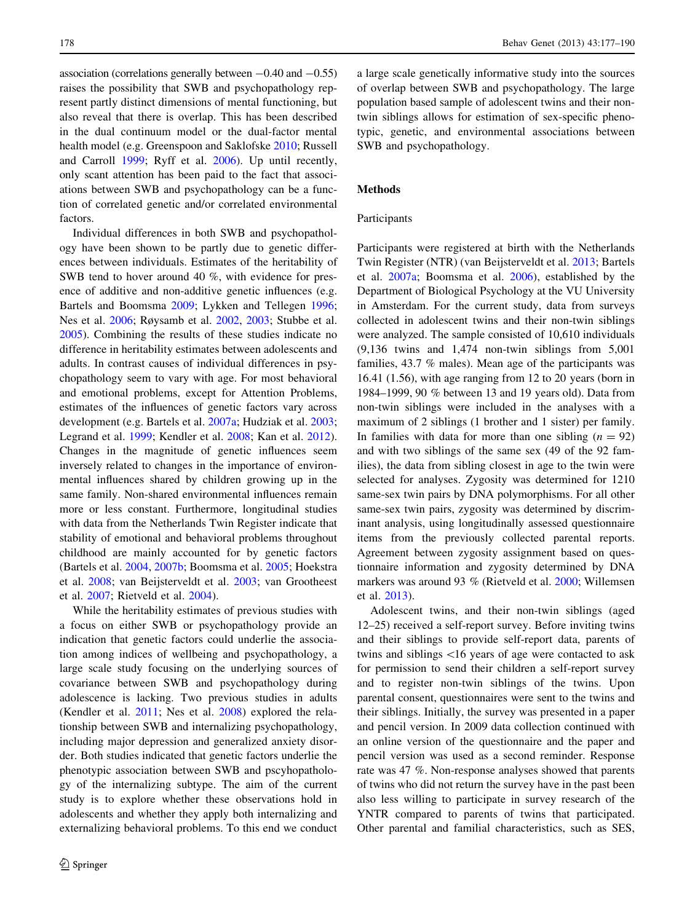association (correlations generally between  $-0.40$  and  $-0.55$ ) raises the possibility that SWB and psychopathology represent partly distinct dimensions of mental functioning, but also reveal that there is overlap. This has been described in the dual continuum model or the dual-factor mental health model (e.g. Greenspoon and Saklofske [2010;](#page-12-0) Russell and Carroll [1999](#page-13-0); Ryff et al. [2006\)](#page-13-0). Up until recently, only scant attention has been paid to the fact that associations between SWB and psychopathology can be a function of correlated genetic and/or correlated environmental factors.

Individual differences in both SWB and psychopathology have been shown to be partly due to genetic differences between individuals. Estimates of the heritability of SWB tend to hover around 40 %, with evidence for presence of additive and non-additive genetic influences (e.g. Bartels and Boomsma [2009;](#page-12-0) Lykken and Tellegen [1996](#page-13-0); Nes et al. [2006;](#page-13-0) Røysamb et al. [2002](#page-13-0), [2003](#page-13-0); Stubbe et al. [2005\)](#page-13-0). Combining the results of these studies indicate no difference in heritability estimates between adolescents and adults. In contrast causes of individual differences in psychopathology seem to vary with age. For most behavioral and emotional problems, except for Attention Problems, estimates of the influences of genetic factors vary across development (e.g. Bartels et al. [2007a;](#page-12-0) Hudziak et al. [2003](#page-12-0); Legrand et al. [1999;](#page-13-0) Kendler et al. [2008;](#page-12-0) Kan et al. [2012](#page-12-0)). Changes in the magnitude of genetic influences seem inversely related to changes in the importance of environmental influences shared by children growing up in the same family. Non-shared environmental influences remain more or less constant. Furthermore, longitudinal studies with data from the Netherlands Twin Register indicate that stability of emotional and behavioral problems throughout childhood are mainly accounted for by genetic factors (Bartels et al. [2004](#page-12-0), [2007b](#page-12-0); Boomsma et al. [2005;](#page-12-0) Hoekstra et al. [2008;](#page-12-0) van Beijsterveldt et al. [2003](#page-13-0); van Grootheest et al. [2007;](#page-13-0) Rietveld et al. [2004\)](#page-13-0).

While the heritability estimates of previous studies with a focus on either SWB or psychopathology provide an indication that genetic factors could underlie the association among indices of wellbeing and psychopathology, a large scale study focusing on the underlying sources of covariance between SWB and psychopathology during adolescence is lacking. Two previous studies in adults (Kendler et al. [2011;](#page-12-0) Nes et al. [2008\)](#page-13-0) explored the relationship between SWB and internalizing psychopathology, including major depression and generalized anxiety disorder. Both studies indicated that genetic factors underlie the phenotypic association between SWB and pscyhopathology of the internalizing subtype. The aim of the current study is to explore whether these observations hold in adolescents and whether they apply both internalizing and externalizing behavioral problems. To this end we conduct a large scale genetically informative study into the sources of overlap between SWB and psychopathology. The large population based sample of adolescent twins and their nontwin siblings allows for estimation of sex-specific phenotypic, genetic, and environmental associations between SWB and psychopathology.

## Methods

### Participants

Participants were registered at birth with the Netherlands Twin Register (NTR) (van Beijsterveldt et al. [2013;](#page-13-0) Bartels et al. [2007a](#page-12-0); Boomsma et al. [2006](#page-12-0)), established by the Department of Biological Psychology at the VU University in Amsterdam. For the current study, data from surveys collected in adolescent twins and their non-twin siblings were analyzed. The sample consisted of 10,610 individuals (9,136 twins and 1,474 non-twin siblings from 5,001 families, 43.7 % males). Mean age of the participants was 16.41 (1.56), with age ranging from 12 to 20 years (born in 1984–1999, 90 % between 13 and 19 years old). Data from non-twin siblings were included in the analyses with a maximum of 2 siblings (1 brother and 1 sister) per family. In families with data for more than one sibling  $(n = 92)$ and with two siblings of the same sex (49 of the 92 families), the data from sibling closest in age to the twin were selected for analyses. Zygosity was determined for 1210 same-sex twin pairs by DNA polymorphisms. For all other same-sex twin pairs, zygosity was determined by discriminant analysis, using longitudinally assessed questionnaire items from the previously collected parental reports. Agreement between zygosity assignment based on questionnaire information and zygosity determined by DNA markers was around 93 % (Rietveld et al. [2000](#page-13-0); Willemsen et al. [2013\)](#page-13-0).

Adolescent twins, and their non-twin siblings (aged 12–25) received a self-report survey. Before inviting twins and their siblings to provide self-report data, parents of twins and siblings <16 years of age were contacted to ask for permission to send their children a self-report survey and to register non-twin siblings of the twins. Upon parental consent, questionnaires were sent to the twins and their siblings. Initially, the survey was presented in a paper and pencil version. In 2009 data collection continued with an online version of the questionnaire and the paper and pencil version was used as a second reminder. Response rate was 47 %. Non-response analyses showed that parents of twins who did not return the survey have in the past been also less willing to participate in survey research of the YNTR compared to parents of twins that participated. Other parental and familial characteristics, such as SES,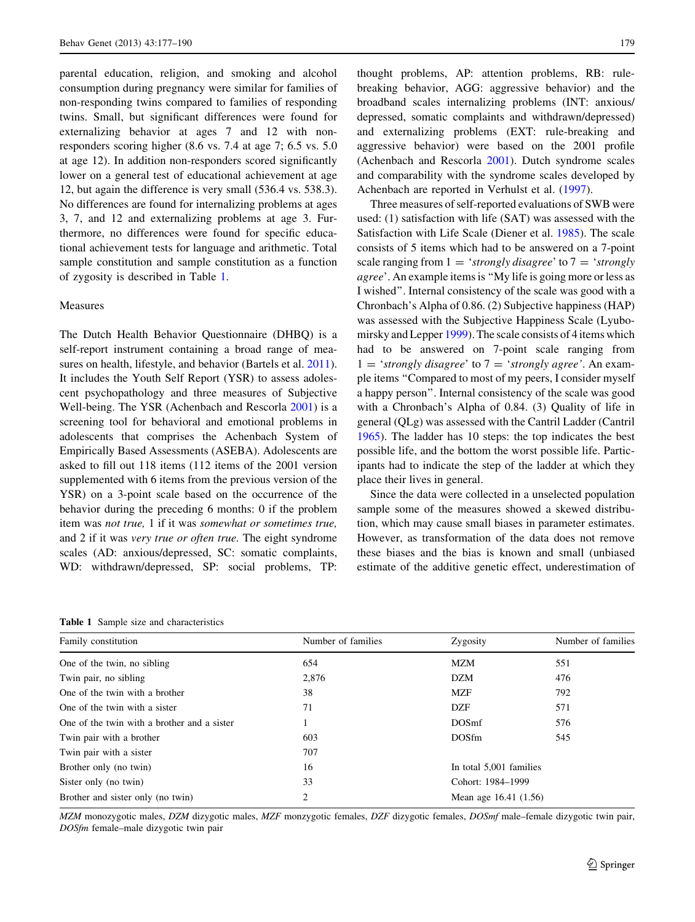parental education, religion, and smoking and alcohol consumption during pregnancy were similar for families of non-responding twins compared to families of responding twins. Small, but significant differences were found for externalizing behavior at ages 7 and 12 with nonresponders scoring higher (8.6 vs. 7.4 at age 7; 6.5 vs. 5.0 at age 12). In addition non-responders scored significantly lower on a general test of educational achievement at age 12, but again the difference is very small (536.4 vs. 538.3). No differences are found for internalizing problems at ages 3, 7, and 12 and externalizing problems at age 3. Furthermore, no differences were found for specific educational achievement tests for language and arithmetic. Total sample constitution and sample constitution as a function of zygosity is described in Table 1.

## Measures

The Dutch Health Behavior Questionnaire (DHBQ) is a self-report instrument containing a broad range of measures on health, lifestyle, and behavior (Bartels et al. [2011](#page-12-0)). It includes the Youth Self Report (YSR) to assess adolescent psychopathology and three measures of Subjective Well-being. The YSR (Achenbach and Rescorla [2001\)](#page-12-0) is a screening tool for behavioral and emotional problems in adolescents that comprises the Achenbach System of Empirically Based Assessments (ASEBA). Adolescents are asked to fill out 118 items (112 items of the 2001 version supplemented with 6 items from the previous version of the YSR) on a 3-point scale based on the occurrence of the behavior during the preceding 6 months: 0 if the problem item was not true, 1 if it was somewhat or sometimes true, and 2 if it was very true or often true. The eight syndrome scales (AD: anxious/depressed, SC: somatic complaints, WD: withdrawn/depressed, SP: social problems, TP:

Table 1 Sample size and characteristics

thought problems, AP: attention problems, RB: rulebreaking behavior, AGG: aggressive behavior) and the broadband scales internalizing problems (INT: anxious/ depressed, somatic complaints and withdrawn/depressed) and externalizing problems (EXT: rule-breaking and aggressive behavior) were based on the 2001 profile (Achenbach and Rescorla [2001](#page-12-0)). Dutch syndrome scales and comparability with the syndrome scales developed by Achenbach are reported in Verhulst et al. ([1997\)](#page-13-0).

Three measures of self-reported evaluations of SWB were used: (1) satisfaction with life (SAT) was assessed with the Satisfaction with Life Scale (Diener et al. [1985](#page-12-0)). The scale consists of 5 items which had to be answered on a 7-point scale ranging from  $1 = 'strongly disagree'$  to  $7 = 'strongly$ agree'. An example items is ''My life is going more or less as I wished''. Internal consistency of the scale was good with a Chronbach's Alpha of 0.86. (2) Subjective happiness (HAP) was assessed with the Subjective Happiness Scale (Lyubomirsky and Lepper [1999](#page-13-0)). The scale consists of 4 items which had to be answered on 7-point scale ranging from  $1 = 'strongly disagree'$  to  $7 = 'strongly agree'.$  An example items ''Compared to most of my peers, I consider myself a happy person''. Internal consistency of the scale was good with a Chronbach's Alpha of 0.84. (3) Quality of life in general (QLg) was assessed with the Cantril Ladder (Cantril [1965](#page-12-0)). The ladder has 10 steps: the top indicates the best possible life, and the bottom the worst possible life. Participants had to indicate the step of the ladder at which they place their lives in general.

Since the data were collected in a unselected population sample some of the measures showed a skewed distribution, which may cause small biases in parameter estimates. However, as transformation of the data does not remove these biases and the bias is known and small (unbiased estimate of the additive genetic effect, underestimation of

| Family constitution                         | Number of families | Zygosity                | Number of families |
|---------------------------------------------|--------------------|-------------------------|--------------------|
| One of the twin, no sibling                 | 654                | MZM                     | 551                |
| Twin pair, no sibling                       | 2,876              | <b>DZM</b>              | 476                |
| One of the twin with a brother              | 38                 | MZF                     | 792                |
| One of the twin with a sister               | 71                 | <b>DZF</b>              | 571                |
| One of the twin with a brother and a sister |                    | DOSmf                   | 576                |
| Twin pair with a brother                    | 603                | <b>DOSfm</b>            | 545                |
| Twin pair with a sister                     | 707                |                         |                    |
| Brother only (no twin)                      | 16                 | In total 5,001 families |                    |
| Sister only (no twin)                       | 33                 | Cohort: 1984-1999       |                    |
| Brother and sister only (no twin)           | 2                  | Mean age $16.41(1.56)$  |                    |

MZM monozygotic males, DZM dizygotic males, MZF monzygotic females, DZF dizygotic females, DOSmf male–female dizygotic twin pair, DOSfm female–male dizygotic twin pair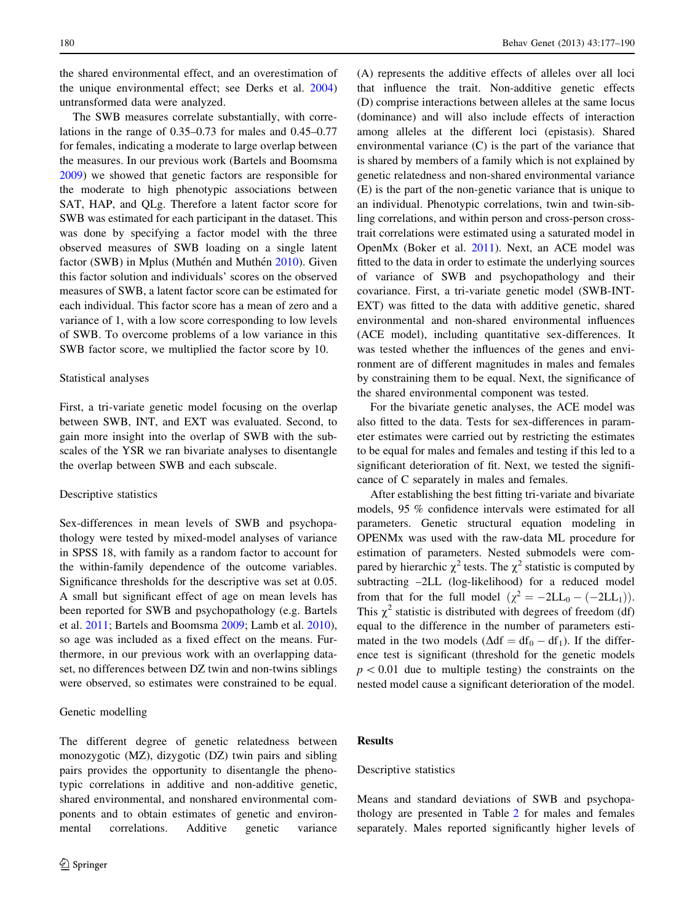the shared environmental effect, and an overestimation of the unique environmental effect; see Derks et al. [2004\)](#page-12-0) untransformed data were analyzed.

The SWB measures correlate substantially, with correlations in the range of 0.35–0.73 for males and 0.45–0.77 for females, indicating a moderate to large overlap between the measures. In our previous work (Bartels and Boomsma [2009\)](#page-12-0) we showed that genetic factors are responsible for the moderate to high phenotypic associations between SAT, HAP, and QLg. Therefore a latent factor score for SWB was estimated for each participant in the dataset. This was done by specifying a factor model with the three observed measures of SWB loading on a single latent factor (SWB) in Mplus (Muthén and Muthén [2010](#page-13-0)). Given this factor solution and individuals' scores on the observed measures of SWB, a latent factor score can be estimated for each individual. This factor score has a mean of zero and a variance of 1, with a low score corresponding to low levels of SWB. To overcome problems of a low variance in this SWB factor score, we multiplied the factor score by 10.

#### Statistical analyses

First, a tri-variate genetic model focusing on the overlap between SWB, INT, and EXT was evaluated. Second, to gain more insight into the overlap of SWB with the subscales of the YSR we ran bivariate analyses to disentangle the overlap between SWB and each subscale.

### Descriptive statistics

Sex-differences in mean levels of SWB and psychopathology were tested by mixed-model analyses of variance in SPSS 18, with family as a random factor to account for the within-family dependence of the outcome variables. Significance thresholds for the descriptive was set at 0.05. A small but significant effect of age on mean levels has been reported for SWB and psychopathology (e.g. Bartels et al. [2011](#page-12-0); Bartels and Boomsma [2009;](#page-12-0) Lamb et al. [2010](#page-12-0)), so age was included as a fixed effect on the means. Furthermore, in our previous work with an overlapping dataset, no differences between DZ twin and non-twins siblings were observed, so estimates were constrained to be equal.

#### Genetic modelling

The different degree of genetic relatedness between monozygotic (MZ), dizygotic (DZ) twin pairs and sibling pairs provides the opportunity to disentangle the phenotypic correlations in additive and non-additive genetic, shared environmental, and nonshared environmental components and to obtain estimates of genetic and environmental correlations. Additive genetic variance (A) represents the additive effects of alleles over all loci that influence the trait. Non-additive genetic effects (D) comprise interactions between alleles at the same locus (dominance) and will also include effects of interaction among alleles at the different loci (epistasis). Shared environmental variance (C) is the part of the variance that is shared by members of a family which is not explained by genetic relatedness and non-shared environmental variance (E) is the part of the non-genetic variance that is unique to an individual. Phenotypic correlations, twin and twin-sibling correlations, and within person and cross-person crosstrait correlations were estimated using a saturated model in OpenMx (Boker et al. [2011](#page-12-0)). Next, an ACE model was fitted to the data in order to estimate the underlying sources of variance of SWB and psychopathology and their covariance. First, a tri-variate genetic model (SWB-INT-EXT) was fitted to the data with additive genetic, shared environmental and non-shared environmental influences (ACE model), including quantitative sex-differences. It was tested whether the influences of the genes and environment are of different magnitudes in males and females by constraining them to be equal. Next, the significance of the shared environmental component was tested.

For the bivariate genetic analyses, the ACE model was also fitted to the data. Tests for sex-differences in parameter estimates were carried out by restricting the estimates to be equal for males and females and testing if this led to a significant deterioration of fit. Next, we tested the significance of C separately in males and females.

After establishing the best fitting tri-variate and bivariate models, 95 % confidence intervals were estimated for all parameters. Genetic structural equation modeling in OPENMx was used with the raw-data ML procedure for estimation of parameters. Nested submodels were compared by hierarchic  $\chi^2$  tests. The  $\chi^2$  statistic is computed by subtracting –2LL (log-likelihood) for a reduced model from that for the full model  $(\chi^2 = -2LL_0 - (-2LL_1)).$ This  $\chi^2$  statistic is distributed with degrees of freedom (df) equal to the difference in the number of parameters estimated in the two models ( $\Delta df = df_0 - df_1$ ). If the difference test is significant (threshold for the genetic models  $p<0.01$  due to multiple testing) the constraints on the nested model cause a significant deterioration of the model.

#### **Results**

#### Descriptive statistics

Means and standard deviations of SWB and psychopathology are presented in Table [2](#page-4-0) for males and females separately. Males reported significantly higher levels of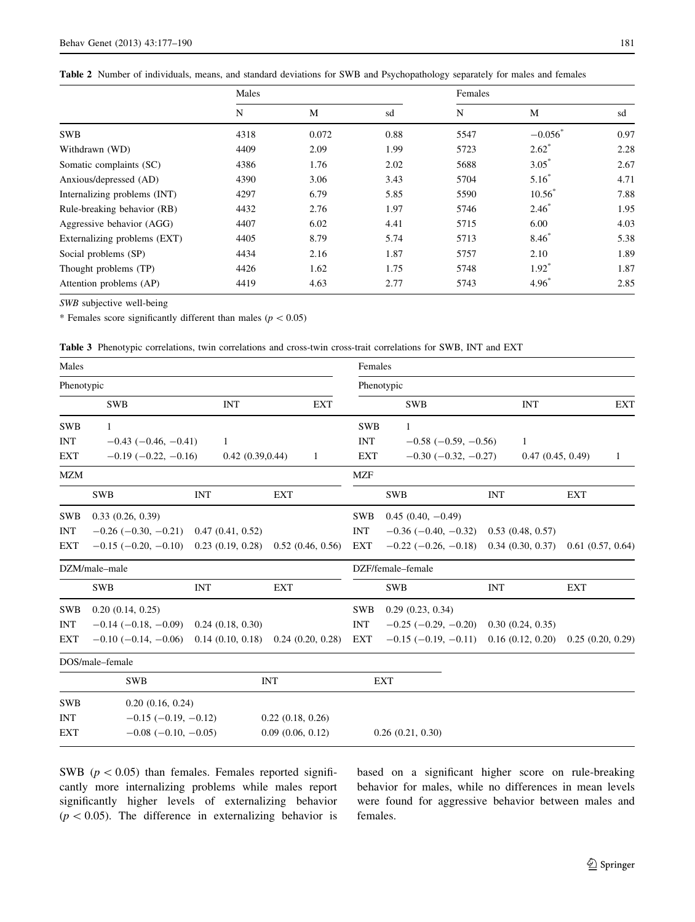<span id="page-4-0"></span>Table 2 Number of individuals, means, and standard deviations for SWB and Psychopathology separately for males and females

|                              | Males |       |      | Females |                  |      |
|------------------------------|-------|-------|------|---------|------------------|------|
|                              | N     | M     | sd   | N       | M                | sd   |
| <b>SWB</b>                   | 4318  | 0.072 | 0.88 | 5547    | $-0.056^{\circ}$ | 0.97 |
| Withdrawn (WD)               | 4409  | 2.09  | 1.99 | 5723    | $2.62^*$         | 2.28 |
| Somatic complaints (SC)      | 4386  | 1.76  | 2.02 | 5688    | $3.05^*$         | 2.67 |
| Anxious/depressed (AD)       | 4390  | 3.06  | 3.43 | 5704    | $5.16^*$         | 4.71 |
| Internalizing problems (INT) | 4297  | 6.79  | 5.85 | 5590    | $10.56^*$        | 7.88 |
| Rule-breaking behavior (RB)  | 4432  | 2.76  | 1.97 | 5746    | $2.46^{\degree}$ | 1.95 |
| Aggressive behavior (AGG)    | 4407  | 6.02  | 4.41 | 5715    | 6.00             | 4.03 |
| Externalizing problems (EXT) | 4405  | 8.79  | 5.74 | 5713    | $8.46*$          | 5.38 |
| Social problems (SP)         | 4434  | 2.16  | 1.87 | 5757    | 2.10             | 1.89 |
| Thought problems (TP)        | 4426  | 1.62  | 1.75 | 5748    | $1.92^*$         | 1.87 |
| Attention problems (AP)      | 4419  | 4.63  | 2.77 | 5743    | $4.96^{\degree}$ | 2.85 |

SWB subjective well-being

\* Females score significantly different than males ( $p < 0.05$ )

Table 3 Phenotypic correlations, twin correlations and cross-twin cross-trait correlations for SWB, INT and EXT

| Males      |                               |                  |                  |            | Females    |                               |            |                  |                       |            |
|------------|-------------------------------|------------------|------------------|------------|------------|-------------------------------|------------|------------------|-----------------------|------------|
| Phenotypic |                               |                  |                  |            | Phenotypic |                               |            |                  |                       |            |
|            | <b>SWB</b>                    | <b>INT</b>       |                  | <b>EXT</b> |            | <b>SWB</b>                    |            | <b>INT</b>       |                       | <b>EXT</b> |
| <b>SWB</b> | 1                             |                  |                  |            | <b>SWB</b> | 1                             |            |                  |                       |            |
| <b>INT</b> | $-0.43$ ( $-0.46$ , $-0.41$ ) | 1                |                  |            | <b>INT</b> | $-0.58$ ( $-0.59$ , $-0.56$ ) |            | 1                |                       |            |
| <b>EXT</b> | $-0.19$ ( $-0.22, -0.16$ )    | 0.42(0.39, 0.44) | 1                |            | EXT        | $-0.30$ ( $-0.32$ , $-0.27$ ) |            | 0.47(0.45, 0.49) |                       | 1          |
| <b>MZM</b> |                               |                  |                  |            | <b>MZF</b> |                               |            |                  |                       |            |
|            | <b>SWB</b>                    | <b>INT</b>       | EXT              |            |            | <b>SWB</b>                    | <b>INT</b> |                  | EXT                   |            |
| <b>SWB</b> | 0.33(0.26, 0.39)              |                  |                  |            | SWB        | $0.45(0.40, -0.49)$           |            |                  |                       |            |
| <b>INT</b> | $-0.26$ ( $-0.30, -0.21$ )    | 0.47(0.41, 0.52) |                  |            | <b>INT</b> | $-0.36$ ( $-0.40$ , $-0.32$ ) |            | 0.53(0.48, 0.57) |                       |            |
| EXT        | $-0.15$ ( $-0.20, -0.10$ )    | 0.23(0.19, 0.28) | 0.52(0.46, 0.56) |            | EXT        | $-0.22$ ( $-0.26$ , $-0.18$ ) |            | 0.34(0.30, 0.37) | $0.61$ $(0.57, 0.64)$ |            |
|            | DZM/male-male                 |                  |                  |            |            | DZF/female-female             |            |                  |                       |            |
|            | <b>SWB</b>                    | <b>INT</b>       | EXT              |            |            | <b>SWB</b>                    | <b>INT</b> |                  | EXT                   |            |
| <b>SWB</b> | 0.20(0.14, 0.25)              |                  |                  |            | <b>SWB</b> | 0.29(0.23, 0.34)              |            |                  |                       |            |
| <b>INT</b> | $-0.14$ ( $-0.18$ , $-0.09$ ) | 0.24(0.18, 0.30) |                  |            | <b>INT</b> | $-0.25$ ( $-0.29$ , $-0.20$ ) |            | 0.30(0.24, 0.35) |                       |            |
| <b>EXT</b> | $-0.10$ ( $-0.14$ , $-0.06$ ) | 0.14(0.10, 0.18) | 0.24(0.20, 0.28) |            | EXT        | $-0.15$ ( $-0.19$ , $-0.11$ ) |            | 0.16(0.12, 0.20) | 0.25(0.20, 0.29)      |            |
|            | DOS/male-female               |                  |                  |            |            |                               |            |                  |                       |            |
|            | <b>SWB</b>                    |                  | <b>INT</b>       |            |            | <b>EXT</b>                    |            |                  |                       |            |
| <b>SWB</b> | 0.20(0.16, 0.24)              |                  |                  |            |            |                               |            |                  |                       |            |
| <b>INT</b> | $-0.15$ ( $-0.19$ , $-0.12$ ) |                  | 0.22(0.18, 0.26) |            |            |                               |            |                  |                       |            |
| <b>EXT</b> | $-0.08$ ( $-0.10, -0.05$ )    |                  | 0.09(0.06, 0.12) |            |            | 0.26(0.21, 0.30)              |            |                  |                       |            |
|            |                               |                  |                  |            |            |                               |            |                  |                       |            |

SWB ( $p < 0.05$ ) than females. Females reported significantly more internalizing problems while males report significantly higher levels of externalizing behavior  $(p < 0.05)$ . The difference in externalizing behavior is based on a significant higher score on rule-breaking behavior for males, while no differences in mean levels were found for aggressive behavior between males and females.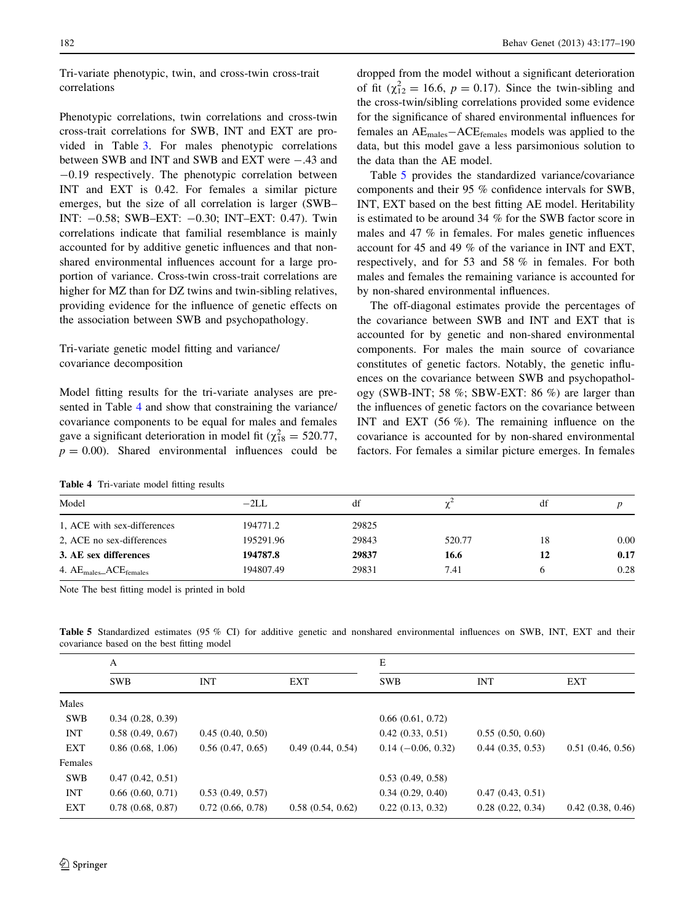Tri-variate phenotypic, twin, and cross-twin cross-trait correlations

Phenotypic correlations, twin correlations and cross-twin cross-trait correlations for SWB, INT and EXT are provided in Table [3](#page-4-0). For males phenotypic correlations between SWB and INT and SWB and EXT were  $-.43$  and -0.19 respectively. The phenotypic correlation between INT and EXT is 0.42. For females a similar picture emerges, but the size of all correlation is larger (SWB– INT: -0.58; SWB–EXT: -0.30; INT–EXT: 0.47). Twin correlations indicate that familial resemblance is mainly accounted for by additive genetic influences and that nonshared environmental influences account for a large proportion of variance. Cross-twin cross-trait correlations are higher for MZ than for DZ twins and twin-sibling relatives, providing evidence for the influence of genetic effects on the association between SWB and psychopathology.

# Tri-variate genetic model fitting and variance/ covariance decomposition

Model fitting results for the tri-variate analyses are presented in Table 4 and show that constraining the variance/ covariance components to be equal for males and females gave a significant deterioration in model fit ( $\chi^2_{18} = 520.77$ ,  $p = 0.00$ ). Shared environmental influences could be

Table 4 Tri-variate model fitting results

dropped from the model without a significant deterioration of fit ( $\chi_{12}^2 = 16.6$ ,  $p = 0.17$ ). Since the twin-sibling and the cross-twin/sibling correlations provided some evidence for the significance of shared environmental influences for females an AEmales-ACEfemales models was applied to the data, but this model gave a less parsimonious solution to the data than the AE model.

Table 5 provides the standardized variance/covariance components and their 95 % confidence intervals for SWB, INT, EXT based on the best fitting AE model. Heritability is estimated to be around 34 % for the SWB factor score in males and 47 % in females. For males genetic influences account for 45 and 49 % of the variance in INT and EXT, respectively, and for 53 and 58 % in females. For both males and females the remaining variance is accounted for by non-shared environmental influences.

The off-diagonal estimates provide the percentages of the covariance between SWB and INT and EXT that is accounted for by genetic and non-shared environmental components. For males the main source of covariance constitutes of genetic factors. Notably, the genetic influences on the covariance between SWB and psychopathology (SWB-INT; 58 %; SBW-EXT: 86 %) are larger than the influences of genetic factors on the covariance between INT and EXT (56 %). The remaining influence on the covariance is accounted for by non-shared environmental factors. For females a similar picture emerges. In females

| Model                                 | $-2LL$    | df    |        | di |      |
|---------------------------------------|-----------|-------|--------|----|------|
| 1, ACE with sex-differences           | 194771.2  | 29825 |        |    |      |
| 2, ACE no sex-differences             | 195291.96 | 29843 | 520.77 | 18 | 0.00 |
| 3. AE sex differences                 | 194787.8  | 29837 | 16.6   | 12 | 0.17 |
| 4. $AE_{males}\_\text{ACE}_{females}$ | 194807.49 | 29831 | 7.41   |    | 0.28 |

Note The best fitting model is printed in bold

Table 5 Standardized estimates (95 % CI) for additive genetic and nonshared environmental influences on SWB, INT, EXT and their covariance based on the best fitting model

|            | A                     |                  |                  | Е                   |                  |                  |
|------------|-----------------------|------------------|------------------|---------------------|------------------|------------------|
|            | <b>SWB</b>            | <b>INT</b>       | EXT              | <b>SWB</b>          | <b>INT</b>       | EXT              |
| Males      |                       |                  |                  |                     |                  |                  |
| <b>SWB</b> | 0.34(0.28, 0.39)      |                  |                  | 0.66(0.61, 0.72)    |                  |                  |
| <b>INT</b> | 0.58(0.49, 0.67)      | 0.45(0.40, 0.50) |                  | 0.42(0.33, 0.51)    | 0.55(0.50, 0.60) |                  |
| EXT        | 0.86(0.68, 1.06)      | 0.56(0.47, 0.65) | 0.49(0.44, 0.54) | $0.14(-0.06, 0.32)$ | 0.44(0.35, 0.53) | 0.51(0.46, 0.56) |
| Females    |                       |                  |                  |                     |                  |                  |
| <b>SWB</b> | 0.47(0.42, 0.51)      |                  |                  | 0.53(0.49, 0.58)    |                  |                  |
| <b>INT</b> | 0.66(0.60, 0.71)      | 0.53(0.49, 0.57) |                  | 0.34(0.29, 0.40)    | 0.47(0.43, 0.51) |                  |
| EXT        | $0.78$ $(0.68, 0.87)$ | 0.72(0.66, 0.78) | 0.58(0.54, 0.62) | 0.22(0.13, 0.32)    | 0.28(0.22, 0.34) | 0.42(0.38, 0.46) |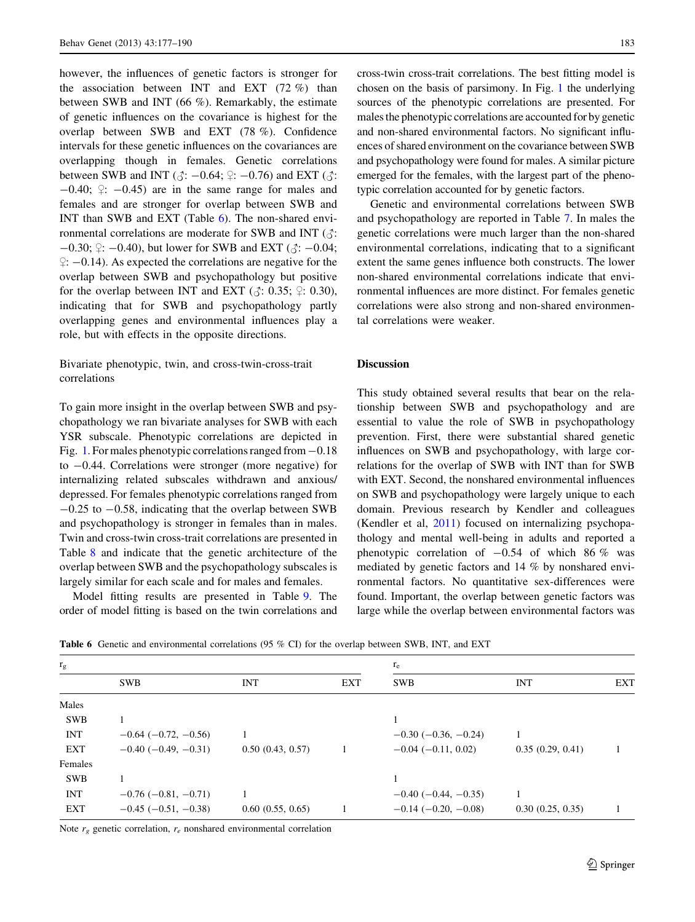however, the influences of genetic factors is stronger for the association between INT and EXT (72 %) than between SWB and INT (66 %). Remarkably, the estimate of genetic influences on the covariance is highest for the overlap between SWB and EXT (78 %). Confidence intervals for these genetic influences on the covariances are overlapping though in females. Genetic correlations between SWB and INT ( $\hat{\beta}$ : -0.64;  $\hat{\gamma}$ : -0.76) and EXT ( $\hat{\beta}$ :  $-0.40$ ;  $\degree$ :  $-0.45$ ) are in the same range for males and females and are stronger for overlap between SWB and INT than SWB and EXT (Table 6). The non-shared environmental correlations are moderate for SWB and INT  $(3)$ :  $-0.30; \frac{1}{2}$ :  $-0.40$ ), but lower for SWB and EXT ( $\triangle$ :  $-0.04$ ;  $\degree$ : -0.14). As expected the correlations are negative for the overlap between SWB and psychopathology but positive for the overlap between INT and EXT ( $\triangle$ : 0.35;  $\angle$ : 0.30), indicating that for SWB and psychopathology partly overlapping genes and environmental influences play a role, but with effects in the opposite directions.

## Bivariate phenotypic, twin, and cross-twin-cross-trait correlations

To gain more insight in the overlap between SWB and psychopathology we ran bivariate analyses for SWB with each YSR subscale. Phenotypic correlations are depicted in Fig. [1](#page-7-0). For males phenotypic correlations ranged from  $-0.18$ to  $-0.44$ . Correlations were stronger (more negative) for internalizing related subscales withdrawn and anxious/ depressed. For females phenotypic correlations ranged from  $-0.25$  to  $-0.58$ , indicating that the overlap between SWB and psychopathology is stronger in females than in males. Twin and cross-twin cross-trait correlations are presented in Table [8](#page-9-0) and indicate that the genetic architecture of the overlap between SWB and the psychopathology subscales is largely similar for each scale and for males and females.

Model fitting results are presented in Table [9.](#page-10-0) The order of model fitting is based on the twin correlations and cross-twin cross-trait correlations. The best fitting model is chosen on the basis of parsimony. In Fig. [1](#page-7-0) the underlying sources of the phenotypic correlations are presented. For males the phenotypic correlations are accounted for by genetic and non-shared environmental factors. No significant influences of shared environment on the covariance between SWB and psychopathology were found for males. A similar picture emerged for the females, with the largest part of the phenotypic correlation accounted for by genetic factors.

Genetic and environmental correlations between SWB and psychopathology are reported in Table [7.](#page-7-0) In males the genetic correlations were much larger than the non-shared environmental correlations, indicating that to a significant extent the same genes influence both constructs. The lower non-shared environmental correlations indicate that environmental influences are more distinct. For females genetic correlations were also strong and non-shared environmental correlations were weaker.

# Discussion

This study obtained several results that bear on the relationship between SWB and psychopathology and are essential to value the role of SWB in psychopathology prevention. First, there were substantial shared genetic influences on SWB and psychopathology, with large correlations for the overlap of SWB with INT than for SWB with EXT. Second, the nonshared environmental influences on SWB and psychopathology were largely unique to each domain. Previous research by Kendler and colleagues (Kendler et al, [2011](#page-12-0)) focused on internalizing psychopathology and mental well-being in adults and reported a phenotypic correlation of  $-0.54$  of which 86 % was mediated by genetic factors and 14 % by nonshared environmental factors. No quantitative sex-differences were found. Important, the overlap between genetic factors was large while the overlap between environmental factors was

Table 6 Genetic and environmental correlations (95 % CI) for the overlap between SWB, INT, and EXT

| $r_{\rm g}$ | <b>SWB</b>                    | <b>INT</b>       | EXT | $r_e$<br><b>SWB</b>           | <b>INT</b>       | EXT |
|-------------|-------------------------------|------------------|-----|-------------------------------|------------------|-----|
| Males       |                               |                  |     |                               |                  |     |
| <b>SWB</b>  |                               |                  |     |                               |                  |     |
| <b>INT</b>  | $-0.64$ ( $-0.72$ , $-0.56$ ) |                  |     | $-0.30$ ( $-0.36$ , $-0.24$ ) |                  |     |
| EXT         | $-0.40$ ( $-0.49$ , $-0.31$ ) | 0.50(0.43, 0.57) |     | $-0.04$ ( $-0.11$ , 0.02)     | 0.35(0.29, 0.41) |     |
| Females     |                               |                  |     |                               |                  |     |
| <b>SWB</b>  |                               |                  |     |                               |                  |     |
| <b>INT</b>  | $-0.76$ ( $-0.81, -0.71$ )    |                  |     | $-0.40$ ( $-0.44$ , $-0.35$ ) |                  |     |
| <b>EXT</b>  | $-0.45$ ( $-0.51$ , $-0.38$ ) | 0.60(0.55, 0.65) |     | $-0.14$ ( $-0.20, -0.08$ )    | 0.30(0.25, 0.35) |     |

Note  $r_g$  genetic correlation,  $r_e$  nonshared environmental correlation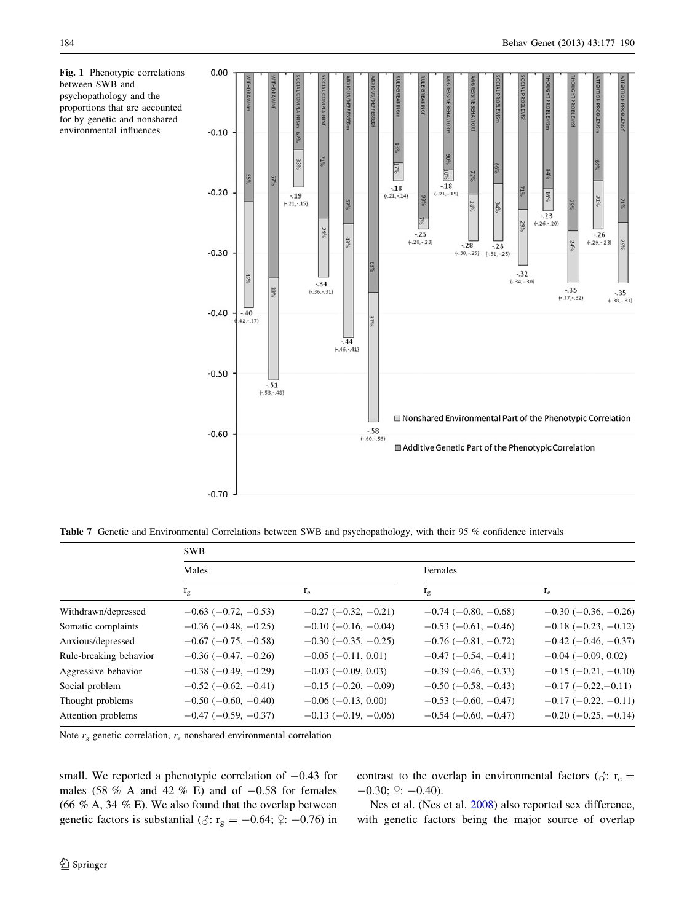<span id="page-7-0"></span>Fig. 1 Phenotypic correlations between SWB and psychopathology and the proportions that are accounted for by genetic and nonshared environmental influences



Table 7 Genetic and Environmental Correlations between SWB and psychopathology, with their 95 % confidence intervals

|                        | <b>SWB</b>                    |                               |                               |                               |
|------------------------|-------------------------------|-------------------------------|-------------------------------|-------------------------------|
|                        | Males                         |                               | Females                       |                               |
|                        | $r_{\rm g}$                   | $r_e$                         | $r_{\rm g}$                   | $r_e$                         |
| Withdrawn/depressed    | $-0.63$ ( $-0.72$ , $-0.53$ ) | $-0.27$ ( $-0.32$ , $-0.21$ ) | $-0.74$ ( $-0.80, -0.68$ )    | $-0.30$ ( $-0.36$ , $-0.26$ ) |
| Somatic complaints     | $-0.36$ ( $-0.48$ , $-0.25$ ) | $-0.10$ ( $-0.16$ , $-0.04$ ) | $-0.53$ ( $-0.61$ , $-0.46$ ) | $-0.18$ ( $-0.23$ , $-0.12$ ) |
| Anxious/depressed      | $-0.67$ ( $-0.75$ , $-0.58$ ) | $-0.30$ ( $-0.35$ , $-0.25$ ) | $-0.76$ ( $-0.81, -0.72$ )    | $-0.42$ ( $-0.46$ , $-0.37$ ) |
| Rule-breaking behavior | $-0.36$ ( $-0.47, -0.26$ )    | $-0.05$ ( $-0.11$ , 0.01)     | $-0.47$ ( $-0.54$ , $-0.41$ ) | $-0.04$ ( $-0.09$ , 0.02)     |
| Aggressive behavior    | $-0.38$ ( $-0.49$ , $-0.29$ ) | $-0.03$ ( $-0.09$ , 0.03)     | $-0.39(-0.46, -0.33)$         | $-0.15$ ( $-0.21, -0.10$ )    |
| Social problem         | $-0.52$ ( $-0.62$ , $-0.41$ ) | $-0.15$ ( $-0.20, -0.09$ )    | $-0.50$ ( $-0.58$ , $-0.43$ ) | $-0.17(-0.22,-0.11)$          |
| Thought problems       | $-0.50$ ( $-0.60$ , $-0.40$ ) | $-0.06$ ( $-0.13$ , 0.00)     | $-0.53$ ( $-0.60, -0.47$ )    | $-0.17$ ( $-0.22, -0.11$ )    |
| Attention problems     | $-0.47$ ( $-0.59$ , $-0.37$ ) | $-0.13$ ( $-0.19$ , $-0.06$ ) | $-0.54$ ( $-0.60$ , $-0.47$ ) | $-0.20$ ( $-0.25$ , $-0.14$ ) |
|                        |                               |                               |                               |                               |

Note  $r_g$  genetic correlation,  $r_e$  nonshared environmental correlation

small. We reported a phenotypic correlation of  $-0.43$  for males (58 % A and 42 % E) and of  $-0.58$  for females (66  $%$  A, 34  $%$  E). We also found that the overlap between genetic factors is substantial ( $\text{I}$ : r<sub>g</sub> = -0.64;  $\text{I}$ : -0.76) in contrast to the overlap in environmental factors ( $\lozenge$ : r<sub>e</sub> =  $-0.30; \; \frac{6}{5}$ :  $-0.40$ ).

Nes et al. (Nes et al. [2008](#page-13-0)) also reported sex difference, with genetic factors being the major source of overlap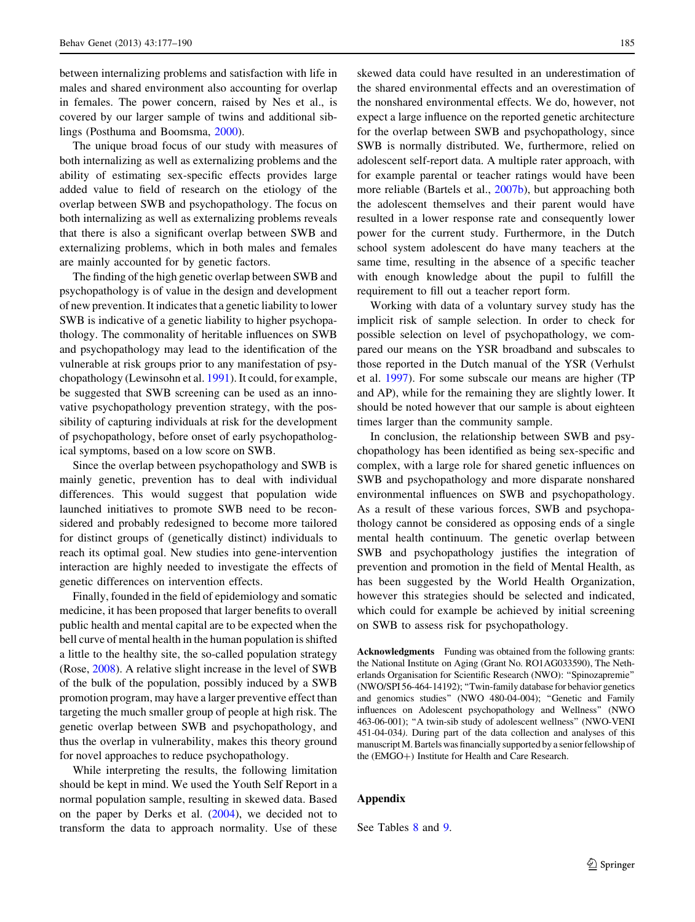between internalizing problems and satisfaction with life in males and shared environment also accounting for overlap in females. The power concern, raised by Nes et al., is covered by our larger sample of twins and additional siblings (Posthuma and Boomsma, [2000\)](#page-13-0).

The unique broad focus of our study with measures of both internalizing as well as externalizing problems and the ability of estimating sex-specific effects provides large added value to field of research on the etiology of the overlap between SWB and psychopathology. The focus on both internalizing as well as externalizing problems reveals that there is also a significant overlap between SWB and externalizing problems, which in both males and females are mainly accounted for by genetic factors.

The finding of the high genetic overlap between SWB and psychopathology is of value in the design and development of new prevention. It indicates that a genetic liability to lower SWB is indicative of a genetic liability to higher psychopathology. The commonality of heritable influences on SWB and psychopathology may lead to the identification of the vulnerable at risk groups prior to any manifestation of psychopathology (Lewinsohn et al. [1991](#page-13-0)). It could, for example, be suggested that SWB screening can be used as an innovative psychopathology prevention strategy, with the possibility of capturing individuals at risk for the development of psychopathology, before onset of early psychopathological symptoms, based on a low score on SWB.

Since the overlap between psychopathology and SWB is mainly genetic, prevention has to deal with individual differences. This would suggest that population wide launched initiatives to promote SWB need to be reconsidered and probably redesigned to become more tailored for distinct groups of (genetically distinct) individuals to reach its optimal goal. New studies into gene-intervention interaction are highly needed to investigate the effects of genetic differences on intervention effects.

Finally, founded in the field of epidemiology and somatic medicine, it has been proposed that larger benefits to overall public health and mental capital are to be expected when the bell curve of mental health in the human population is shifted a little to the healthy site, the so-called population strategy (Rose, [2008](#page-13-0)). A relative slight increase in the level of SWB of the bulk of the population, possibly induced by a SWB promotion program, may have a larger preventive effect than targeting the much smaller group of people at high risk. The genetic overlap between SWB and psychopathology, and thus the overlap in vulnerability, makes this theory ground for novel approaches to reduce psychopathology.

While interpreting the results, the following limitation should be kept in mind. We used the Youth Self Report in a normal population sample, resulting in skewed data. Based on the paper by Derks et al. ([2004\)](#page-12-0), we decided not to transform the data to approach normality. Use of these skewed data could have resulted in an underestimation of the shared environmental effects and an overestimation of the nonshared environmental effects. We do, however, not expect a large influence on the reported genetic architecture for the overlap between SWB and psychopathology, since SWB is normally distributed. We, furthermore, relied on adolescent self-report data. A multiple rater approach, with for example parental or teacher ratings would have been more reliable (Bartels et al., [2007b\)](#page-12-0), but approaching both the adolescent themselves and their parent would have resulted in a lower response rate and consequently lower power for the current study. Furthermore, in the Dutch school system adolescent do have many teachers at the same time, resulting in the absence of a specific teacher with enough knowledge about the pupil to fulfill the requirement to fill out a teacher report form.

Working with data of a voluntary survey study has the implicit risk of sample selection. In order to check for possible selection on level of psychopathology, we compared our means on the YSR broadband and subscales to those reported in the Dutch manual of the YSR (Verhulst et al. [1997](#page-13-0)). For some subscale our means are higher (TP and AP), while for the remaining they are slightly lower. It should be noted however that our sample is about eighteen times larger than the community sample.

In conclusion, the relationship between SWB and psychopathology has been identified as being sex-specific and complex, with a large role for shared genetic influences on SWB and psychopathology and more disparate nonshared environmental influences on SWB and psychopathology. As a result of these various forces, SWB and psychopathology cannot be considered as opposing ends of a single mental health continuum. The genetic overlap between SWB and psychopathology justifies the integration of prevention and promotion in the field of Mental Health, as has been suggested by the World Health Organization, however this strategies should be selected and indicated, which could for example be achieved by initial screening on SWB to assess risk for psychopathology.

Acknowledgments Funding was obtained from the following grants: the National Institute on Aging (Grant No. RO1AG033590), The Netherlands Organisation for Scientific Research (NWO): ''Spinozapremie'' (NWO/SPI 56-464-14192); ''Twin-family database for behavior genetics and genomics studies'' (NWO 480-04-004); ''Genetic and Family influences on Adolescent psychopathology and Wellness'' (NWO 463-06-001); ''A twin-sib study of adolescent wellness'' (NWO-VENI 451-04-034). During part of the data collection and analyses of this manuscript M. Bartels was financially supported by a senior fellowship of the (EMGO+) Institute for Health and Care Research.

#### Appendix

See Tables [8](#page-9-0) and [9](#page-10-0).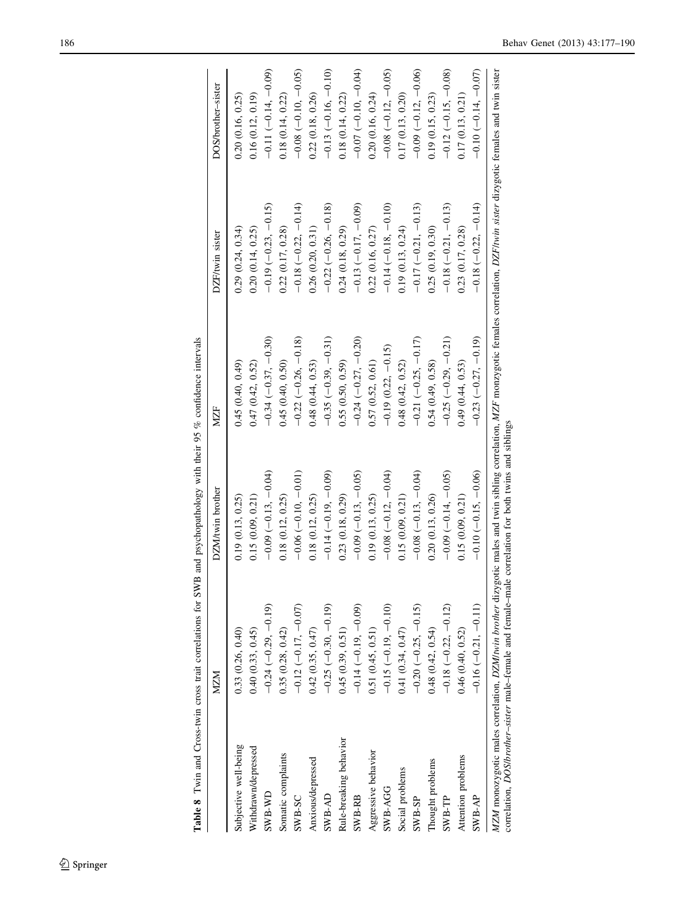<span id="page-9-0"></span>

|                        |                          | $\ddot{\phantom{0}}$                                                                                                                                                                                                                                                                                  |                               |                        |                               |
|------------------------|--------------------------|-------------------------------------------------------------------------------------------------------------------------------------------------------------------------------------------------------------------------------------------------------------------------------------------------------|-------------------------------|------------------------|-------------------------------|
|                        | <b>NZM</b>               | DZM/twin brother                                                                                                                                                                                                                                                                                      | <b>MZF</b>                    | DZF/twin sister        | DOS/brother-sister            |
| Subjective well-being  | 0.33(0.26, 0.40)         | 0.19(0.13, 0.25)                                                                                                                                                                                                                                                                                      | 0.45(0.40, 0.49)              | 0.29(0.24, 0.34)       | 0.20(0.16, 0.25)              |
| Withdrawn/depressed    | 0.40(0.33, 0.45)         | 0.15(0.09, 0.21)                                                                                                                                                                                                                                                                                      | 0.47(0.42, 0.52)              | 0.20(0.14, 0.25)       | 0.16(0.12, 0.19)              |
| SWB-WD                 | $-0.24(-0.29, -0.19)$    | $(-0.00 - 0.00 - 0.00 - 0.00 - 0.00 - 0.00 - 0.00 - 0.00 - 0.00 - 0.00 - 0.00 - 0.00 - 0.00 - 0.00 - 0.00 - 0.00 - 0.00 - 0.00 - 0.00 - 0.00 - 0.00 - 0.00 - 0.00 - 0.00 - 0.00 - 0.00 - 0.00 - 0.00 - 0.00 - 0.00 - 0.00 - 0.00 - 0.00 - 0.00 - 0.00 - 0.00 - 0.0$                                   | $-0.34(-0.37,-0.30)$          | $-0.19(-0.23, -0.15)$  | $-0.11(-0.14, -0.09)$         |
| Somatic complaints     | 0.35(0.28, 0.42)         | 0.18(0.12, 0.25)                                                                                                                                                                                                                                                                                      | 0.45(0.40, 0.50)              | 0.22(0.17, 0.28)       | 0.18(0.14, 0.22)              |
| SWB-SC                 | $-0.12(-0.17,-0.07)$     | $-0.06(-0.10,-0.01)$                                                                                                                                                                                                                                                                                  | $-0.22$ ( $-0.26$ , $-0.18$ ) | $-0.18 (-0.22, -0.14)$ | $-0.08(-0.010, 0.05)$         |
| Anxious/depressed      | 0.42(0.35, 0.47)         | 0.18(0.12, 0.25)                                                                                                                                                                                                                                                                                      | 0.48(0.44, 0.53)              | 0.26(0.20, 0.31)       | 0.22(0.18, 0.26)              |
| SWB-AD                 | $-0.25$ $(-0.30, -0.19)$ | $-0.14 (-0.19 - 0.09)$                                                                                                                                                                                                                                                                                | $-0.35$ $(-0.39, -0.31)$      | $-0.22(-0.26, -0.18)$  | $-0.13(-0.16, -0.10)$         |
| Rule-breaking behavior | 0.45(0.39, 0.51)         | 0.23(0.18, 0.29)                                                                                                                                                                                                                                                                                      | 0.55(0.50, 0.59)              | 0.24(0.18, 0.29)       | 0.18(0.14, 0.22)              |
| SWB-RB                 | $-0.14 (-0.19, -0.09)$   | $-0.09(-0.13,-0.05)$                                                                                                                                                                                                                                                                                  | $-0.24$ $(-0.27, -0.20)$      | $-0.13(-0.17, -0.09)$  | $-0.07(-0.10, 0.04)$          |
| Aggressive behavior    | 0.51(0.45, 0.51)         | 0.19(0.13, 0.25)                                                                                                                                                                                                                                                                                      | 0.57(0.52, 0.61)              | 0.22(0.16, 0.27)       | 0.20(0.16, 0.24)              |
| SWB-AGG                | $-0.15(-0.19, -0.10)$    | $-0.08 (-0.12, 12.$                                                                                                                                                                                                                                                                                   | $-0.19$ $(0.22, -0.15)$       | $-0.19(-1.8, 10.10)$   | $-0.08$ ( $-0.12$ , $-0.05$ ) |
| Social problems        | 0.41(0.34, 0.47)         | 0.15(0.09, 0.21)                                                                                                                                                                                                                                                                                      | 0.48(0.42, 0.52)              | 0.19(0.13, 0.24)       | 0.17(0.13, 0.20)              |
| $SWB-SP$               | $-0.20$ $(-0.25, -0.15)$ | $-0.08(-0.13,-0.04)$                                                                                                                                                                                                                                                                                  | $-0.21(-0.25, -0.17)$         | $-0.17 (-0.21, -0.13)$ | $-0.09(-0.12,-0.06)$          |
| Thought problems       | 0.48(0.42, 0.54)         | 0.20(0.13, 0.26)                                                                                                                                                                                                                                                                                      | 0.54(0.49, 0.58)              | 0.25(0.19, 0.30)       | 0.19(0.15, 0.23)              |
| $SWB-TP$               | $-0.18$ $(-0.22, -0.12)$ | $-0.09(-14, 0.05)$                                                                                                                                                                                                                                                                                    | $-0.25$ $(-0.29, -0.21)$      | $-0.18(-0.21,-0.13)$   | $-0.12(-0.15, -0.08)$         |
| Attention problems     | $0.46$ $(0.40, 0.52)$    | 0.15(0.09, 0.21)                                                                                                                                                                                                                                                                                      | 0.49(0.44, 0.53)              | 0.23(0.17, 0.28)       | 0.17(0.13, 0.21)              |
| SWB-AP                 | $-0.16(-0.21,-0.11)$     | $-0.10(-0.15, -0.06)$                                                                                                                                                                                                                                                                                 | $-0.23$ $(-0.27, -0.19)$      | $-0.18 (-0.22, -0.14)$ | $(50.010 - 14.000 - 0.07)$    |
|                        |                          | MZM monozygotic males correlation, DZM/nvin brother dizygotic males and twin sibling correlation, MZF monzygotic females correlation, DZF/nvin sister dizygotic females and twin sister<br>correlation, <i>DOS/brother-sister</i> male-female and female-male correlation for both twins and siblings |                               |                        |                               |

Table 8 Twin and Cross-twin cross trait correlations for SWB and psychopathology with their 95 % confidence intervals Table 8 Twin and Cross-twin cross trait correlations for SWB and psychopathology with their 95 % confidence intervals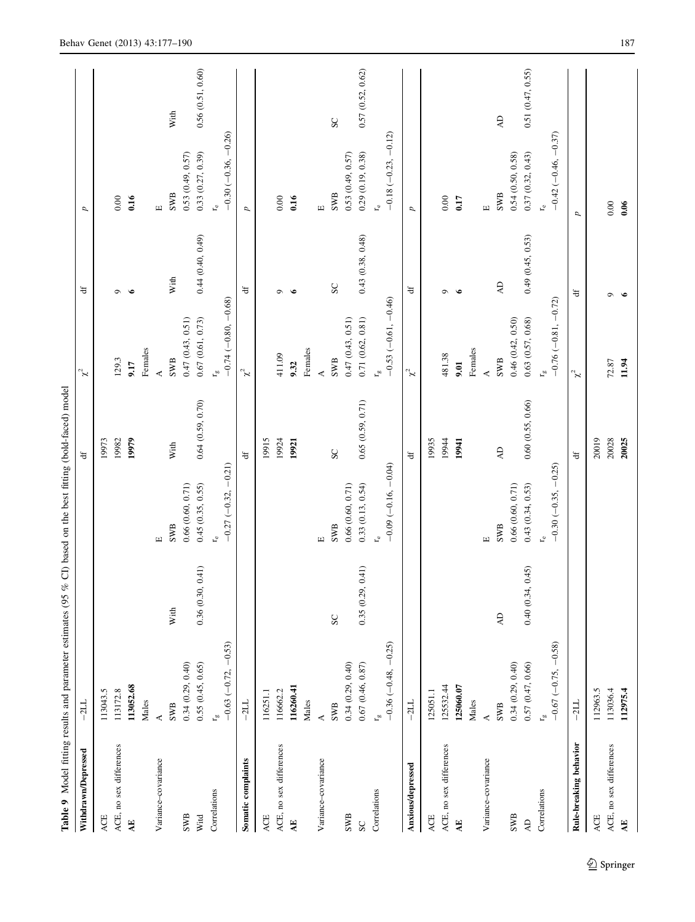<span id="page-10-0"></span>

| Table 9 Model fitting results and parameter estimates (95 |                                           |                  | % CI) based on the best fitting (bold-faced) model |                      |                                         |                  |                                                    |                     |
|-----------------------------------------------------------|-------------------------------------------|------------------|----------------------------------------------------|----------------------|-----------------------------------------|------------------|----------------------------------------------------|---------------------|
| Withdrawn/Depressed                                       | $-2LL$                                    |                  |                                                    | ₩                    | $x^2$                                   | ₩                | d                                                  |                     |
| ACE                                                       | 113043.5                                  |                  |                                                    | 19973                |                                         |                  |                                                    |                     |
| ACE, no sex differences                                   | 113172.8                                  |                  |                                                    | 19982                | 129.3                                   | $\circ$          | 0.00                                               |                     |
| $\overline{A}$                                            | 113052.68                                 |                  |                                                    | 19979                | 9.17                                    | $\bullet$        | 0.16                                               |                     |
|                                                           | Males                                     |                  |                                                    |                      | Females                                 |                  |                                                    |                     |
| Variance-covariance                                       | ≺                                         |                  | 吅                                                  |                      | ₹                                       |                  | $\boxed{\mathbf{L}}$                               |                     |
|                                                           | SWB                                       | With             | SWB                                                | With                 | $\mathbf{S}\mathbf{W}\mathbf{B}$        | With             | SWB                                                | With                |
| SWB                                                       | 0.34(0.29, 0.40)                          |                  | 0.66(0.60, 0.71)                                   |                      | 0.47(0.43, 0.51)                        |                  | 0.53(0.49, 0.57)                                   |                     |
| Witd                                                      | 0.55(0.45, 0.65)                          | 0.36(0.30, 0.41) | 0.45(0.35, 0.55)                                   | 0.64(0.59, 0.70)     | 0.67(0.61, 0.73)                        | 0.44(0.40, 0.49) | 0.33(0.27, 0.39)                                   | 0.56(0.51, 0.60)    |
| Correlations                                              | $r_{\rm g}$                               |                  | $\mathbf{r}_{\rm e}$                               |                      | $r_{\rm g}$                             |                  | $\mathbf{r}_{\rm e}$                               |                     |
|                                                           | $-0.63(-0.72, -0.53)$                     |                  | $-0.27$ ( $-0.32, -0.21$ )                         |                      | $-0.74(-0.80, -0.68)$                   |                  | $-0.30(-0.36, -0.26)$                              |                     |
| Somatic complaints                                        | $-2LL$                                    |                  |                                                    | ₩                    | $x^2$                                   | ₩                | U                                                  |                     |
| ACE                                                       | 116251.1                                  |                  |                                                    | 19915                |                                         |                  |                                                    |                     |
| ACE, no sex differences                                   | 116662.2                                  |                  |                                                    | 19924                | 411.09                                  | $\circ$          | 0.00                                               |                     |
| $\overline{AB}$                                           | 116260.41                                 |                  |                                                    | 19921                | 9.32                                    | $\bullet$        | 0.16                                               |                     |
|                                                           | Males                                     |                  |                                                    |                      | Females                                 |                  |                                                    |                     |
| Variance-covariance                                       | ₹                                         |                  | $\boxed{\mathbf{L}}$                               |                      | $\blacktriangleleft$                    |                  | $\boxed{\mathbf{L}}$                               |                     |
|                                                           | SWB                                       | $\rm SC$         | <b>SWB</b>                                         | SC                   | <b>SWB</b>                              | $\rm SC$         | <b>SWB</b>                                         | $\rm SC$            |
| SWB                                                       | 0.34(0.29, 0.40)                          |                  | 0.66(0.60, 0.71)                                   |                      | 0.47(0.43, 0.51)                        |                  | 0.53(0.49, 0.57)                                   |                     |
| SC                                                        | 0.67 (0.46, 0.87)                         | 0.35(0.29, 0.41) | 0.33(0.13, 0.54)                                   | 0.65(0.59, 0.71)     | 0.71(0.62, 0.81)                        | 0.43(0.38, 0.48) | 0.29(0.19, 0.38)                                   | 0.57(0.52, 0.62)    |
| Correlations                                              | $-0.25$<br>$-0.36(-0.48,$<br>$L_{\infty}$ |                  | $-0.09(-0.16, -0.04)$<br>$\mathbf{r}_{\rm e}$      |                      | $-0.53$ $(-0.61, -0.46)$<br>$r_{\rm e}$ |                  | $-0.12$<br>$-0.18 (-0.23,$<br>$\mathbf{r}_{\rm e}$ |                     |
|                                                           | $-2LL$                                    |                  |                                                    | $\ddot{\phantom{a}}$ |                                         | ਚ                |                                                    |                     |
| Anxious/depressed                                         |                                           |                  |                                                    |                      | $\chi^2$                                |                  | р                                                  |                     |
| ACE                                                       | 125051.1                                  |                  |                                                    | 19935                |                                         |                  |                                                    |                     |
| ACE, no sex differences                                   | 125532.44                                 |                  |                                                    | 19944                | 481.38                                  | $\circ$          | 0.00                                               |                     |
| Æ                                                         | 125060.07                                 |                  |                                                    | 19941                | 9.01                                    |                  | 0.17                                               |                     |
|                                                           | Males                                     |                  |                                                    |                      | Females                                 |                  |                                                    |                     |
| Variance-covariance                                       | ₹                                         |                  | $\boxed{1}$                                        |                      | ₹                                       |                  | $\mathbf{\Xi}$                                     |                     |
|                                                           | SWB                                       | $\overline{A}$   | SWB                                                | $\overline{A}$       | SWB                                     | $\overline{A}$   | SWB                                                | $\Delta \mathsf{D}$ |
| <b>SWB</b>                                                | 0.34(0.29, 0.40)                          |                  | 0.66(0.60, 0.71)                                   |                      | 0.46(0.42, 0.50)                        |                  | 0.54(0.50, 0.58)                                   |                     |
| $\overline{A}$                                            | 0.57(0.47, 0.66)                          | 0.40(0.34, 0.45) | 0.43(0.34, 0.53)                                   | 0.60(0.55, 0.66)     | $0.63\ (0.57,\ 0.68)$                   | 0.49(0.45, 0.53) | 0.37(0.32, 0.43)                                   | 0.51(0.47, 0.55)    |
| Correlations                                              | $r_{\rm g}$                               |                  | Ŀ                                                  |                      | $\mathbf{r}_\mathrm{eq}$                |                  | Ŀ                                                  |                     |
|                                                           | $-0.67$ ( $-0.75, -0.58$ )                |                  | $-0.30(-0.35, -0.25)$                              |                      | $-0.76(-0.81, -0.72)$                   |                  | $-0.42(-0.46, -0.37)$                              |                     |
| Rule-breaking behavior                                    | $-2LL$                                    |                  |                                                    | $\ddot{a}$           | ั≻                                      | ਚ                | d                                                  |                     |
| ACE                                                       | 112963.5                                  |                  |                                                    | 20019                |                                         |                  |                                                    |                     |
| ACE, no sex differences                                   | 113036.4                                  |                  |                                                    | 20028                | 72.87                                   | C                | $0.00\,$                                           |                     |
| $\overline{AB}$                                           | 112975.4                                  |                  |                                                    | 20025                | 11.94                                   | $\bullet$        | 0.06                                               |                     |

 $\underline{\textcircled{\tiny 2}}$  Springer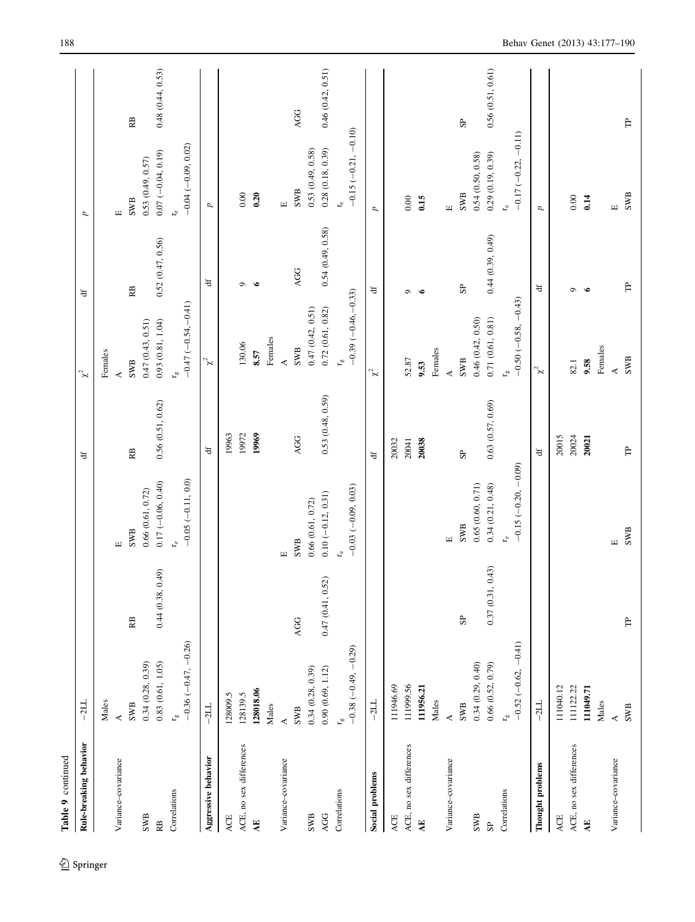| Rule-breaking behavior  | $-2L$                                |                  |                                          | $\overleftarrow{\textbf{d}}$ | $x^2$                                     | $\overleftarrow{\textbf{d}}$ | p                                        |                  |
|-------------------------|--------------------------------------|------------------|------------------------------------------|------------------------------|-------------------------------------------|------------------------------|------------------------------------------|------------------|
| Variance-covariance     | Males<br>$\prec$                     |                  | $\overline{\mathbf{u}}$                  |                              | Females<br>$\prec$                        |                              | $\boxed{\mathbf{1}}$                     |                  |
|                         | SWB                                  | RB               | <b>SWB</b>                               | RB                           | SWB                                       | RB.                          | <b>SWB</b>                               | RB               |
| SWB<br>RB               | 0.34(0.28, 0.39)<br>0.83(0.61, 1.05) | 0.44(0.38, 0.49) | $0.17 (-0.06, 0.40)$<br>0.66(0.61, 0.72) | 0.56(0.51, 0.62)             | $0.93$ $(0.81, 1.04)$<br>0.47(0.43, 0.51) | 0.52(0.47, 0.56)             | $0.07 (-0.04, 0.19)$<br>0.53(0.49, 0.57) | 0.48(0.44, 0.53) |
| Correlations            | $L_{\omega}$                         |                  | $\mathbf{r}_{\rm e}$                     |                              | $\mathbf{L}_\text{co}$                    |                              | $L_{\rm e}$                              |                  |
|                         | $-0.36$ $(-0.47, -0.26)$             |                  | $-0.05$ $(-0.11, 0.0)$                   |                              | $-0.47(-0.54,-0.41)$                      |                              | $-0.04 (-0.09, 0.02)$                    |                  |
| Aggressive behavior     | $-21$                                |                  |                                          | $\ddot{a}$                   | $\chi^2$                                  | $\overleftarrow{\textbf{d}}$ | p                                        |                  |
| ACE                     | 128009.5                             |                  |                                          | 19963                        |                                           |                              |                                          |                  |
| ACE, no sex differences | 128139.5                             |                  |                                          | 19972                        | 130.06                                    | $\mathbf{\sigma}$            | 0.00                                     |                  |
| $\overline{AB}$         | 128018.06                            |                  |                                          | 19969                        | 8.57                                      | $\bullet$                    | 0.20                                     |                  |
|                         | Males                                |                  |                                          |                              | Females                                   |                              |                                          |                  |
| Variance-covariance     | $\prec$                              |                  | $\Box$                                   |                              | $\prec$                                   |                              | $\overline{\mathbf{u}}$                  |                  |
|                         | SWB                                  | AGG              | <b>SWB</b>                               | AGG                          | SWB                                       | AGG                          | SWB                                      | AGG              |
| SWB                     | 0.34(0.28, 0.39)                     |                  | 0.66(0.61, 0.72)                         |                              | 0.47(0.42, 0.51)                          |                              | 0.53(0.49, 0.58)                         |                  |
| AGG                     | 0.90(0.69, 1.12)                     | 0.47(0.41, 0.52) | $0.10 (-0.12, 0.31)$                     | 0.53(0.48, 0.59)             | 0.72(0.61, 0.82)                          | 0.54(0.49, 0.58)             | 0.28(0.18, 0.39)                         | 0.46(0.42, 0.51) |
| Correlations            | $L_{\infty}$                         |                  | $\mathbf{r}_{\mathrm{e}}$                |                              | $L_{\infty}^{\infty}$                     |                              | $\mathbf{r}_{\rm e}$                     |                  |
|                         | $-0.38$ $(-0.49, -0.29)$             |                  | $-0.03(-0.09, 0.03)$                     |                              | $-0.39(-0.46,-0.33)$                      |                              | $-0.15(-0.21, -0.10)$                    |                  |
| Social problems         | $-2LL$                               |                  |                                          | ₩                            | $\chi^2$                                  | $\mathfrak{t}$               | Þ                                        |                  |
| ACE                     | 111946.69                            |                  |                                          | 20032                        |                                           |                              |                                          |                  |
| ACE, no sex differences | 111999.56                            |                  |                                          | 20041                        | 52.87                                     | $\sigma$                     | $0.00\,$                                 |                  |
| <b>AE</b>               | 111956.21                            |                  |                                          | 20038                        | 9.53                                      | $\bullet$                    | 0.15                                     |                  |
|                         | Males                                |                  |                                          |                              | Females                                   |                              |                                          |                  |
| Variance-covariance     | ₹                                    |                  | $\boxed{\mathbf{L}}$                     |                              | ∢                                         |                              | Щ                                        |                  |
|                         | SWB                                  | $\mathbf{S}$     | <b>SWB</b>                               | $S_{\rm P}$                  | <b>SWB</b>                                | $\mathbf{S}$                 | SWB                                      | SP <sub></sub>   |
| SWB                     | 0.34(0.29, 0.40)                     |                  | 0.65(0.60, 0.71)                         |                              | $0.46$ $(0.42, 0.50)$                     |                              | 0.54(0.50, 0.58)                         |                  |
| S <sub>P</sub>          | 0.66 (0.52, 0.79)                    | 0.37(0.31, 0.43) | 0.34(0.21, 0.48)                         | $0.63$ $(0.57, 0.69)$        | $0.71\ (0.61,\ 0.81)$                     | 0.44(0.39, 0.49)             | 0.29(0.19, 0.39)                         | 0.56(0.51, 0.61) |
| Correlations            | $L_{\infty}$                         |                  | $\mathbf{r}_{\rm e}$                     |                              | $L_{\infty}$                              |                              | $\mathbf{r}_{\rm e}$                     |                  |
|                         | $-0.52(-0.62, -0.41)$                |                  | $-0.15(-0.20, -0.09)$                    |                              | $-0.50(-0.58, -0.43)$                     |                              | $-0.17$ $(-0.22, -0.11)$                 |                  |
| Thought problems        | $-2L$                                |                  |                                          | $\ddot{a}$                   | ั×                                        | $\ddot{a}$                   | d                                        |                  |
| ACE                     | 111040.12                            |                  |                                          | 20015                        |                                           |                              |                                          |                  |
| ACE, no sex differences | 111122.22                            |                  |                                          | 20024                        | 82.1                                      | $\sigma$                     | $0.00\,$                                 |                  |
| $\overline{AB}$         | 111049.71                            |                  |                                          | 20021                        | 9.58                                      | $\bullet$                    | 0.14                                     |                  |
|                         | Males                                |                  |                                          |                              | Females                                   |                              |                                          |                  |
| Variance-covariance     | ∢                                    |                  | $\Box$                                   |                              | $\prec$                                   |                              | $\Box$                                   |                  |
|                         | SWB                                  | Ê                | <b>SWB</b>                               | Ê                            | SWB                                       | Ê                            | <b>SWB</b>                               | $\mathbb{P}$     |

 $\underline{\textcircled{\tiny 2}}$  Springer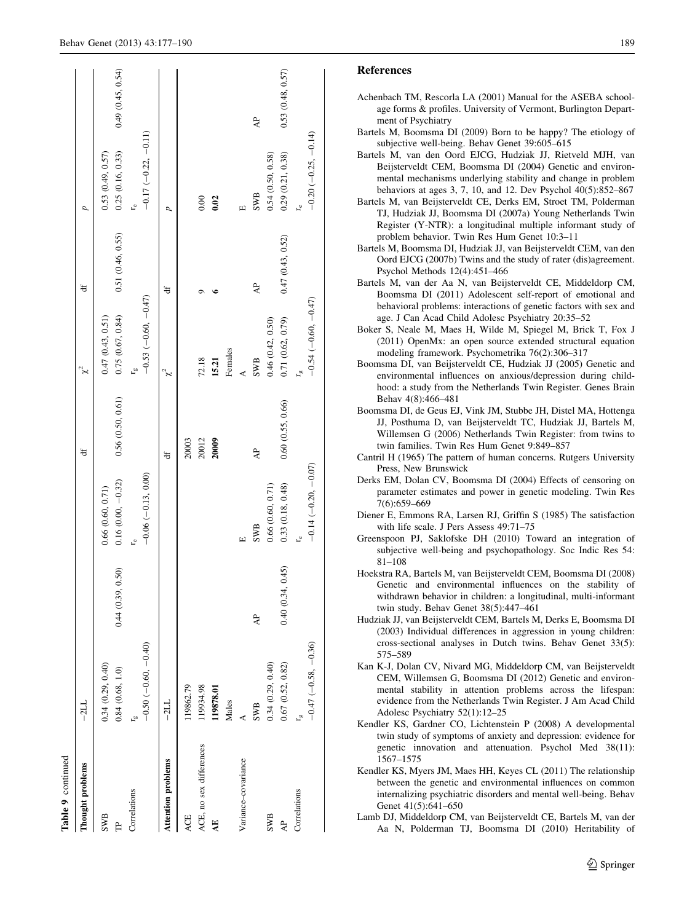<span id="page-12-0"></span>

| Table 9 continued         |                                     |                  |                                         |                  |                                         |                  |                                      |                  |
|---------------------------|-------------------------------------|------------------|-----------------------------------------|------------------|-----------------------------------------|------------------|--------------------------------------|------------------|
| <b>Thought</b> problems   | $-21$                               |                  |                                         | đ                | $\tilde{\mathbf{x}}$                    | đ                | d                                    |                  |
| <b>SWB</b><br>ਸ਼ਿ         | 0.34(0.29, 0.40)<br>0.84(0.68, 1.0) | 0.44(0.39, 0.50) | $0.16(0.00, -0.32)$<br>0.66(0.60, 0.71) | 0.56(0.50, 0.61) | 0.75(0.67, 0.84)<br>0.47(0.43, 0.51)    | 0.51(0.46, 0.55) | 0.25(0.16, 0.33)<br>0.53(0.49, 0.57) | 0.49(0.45, 0.54) |
| Correlations              | $-0.50(-0.60, -0.40)$<br>ل<br>سا    |                  | $-0.06(-0.13, 0.00)$<br>Ľe              |                  | $-0.53(-0.60, -0.47)$<br>$\frac{50}{2}$ |                  | $-0.17$ $(-0.22, -0.11)$<br>Ļ٥       |                  |
| <b>Attention problems</b> | $-21$                               |                  |                                         | ₩                |                                         | đ                | D                                    |                  |
| ACE                       | 119862.79                           |                  |                                         | 20003            |                                         |                  |                                      |                  |
| ACE, no sex differences   | 119934.98                           |                  |                                         | 20012            | 72.18                                   | ✑                | 0.00                                 |                  |
| Ę                         | 119878.01                           |                  |                                         | 20009            | 15.21                                   |                  | 0.02                                 |                  |
|                           | Males                               |                  |                                         |                  | Females                                 |                  |                                      |                  |
| Variance-covariance       |                                     |                  | Щ                                       |                  |                                         |                  | $\Xi$                                |                  |
|                           | SWB                                 | Ą                | <b>SWB</b>                              | ਟ੍ਰੈ             | <b>SWB</b>                              | $\overline{A}$   | <b>SWB</b>                           | ĄP               |
| <b>SWB</b>                | 0.34(0.29, 0.40)                    |                  | 0.66(0.60, 0.71)                        |                  | 0.46(0.42, 0.50)                        |                  | 0.54(0.50, 0.58)                     |                  |
| ਟ੍ਰੈ                      | 0.67(0.52, 0.82)                    | 0.40(0.34, 0.45) | 0.33(0.18, 0.48)                        | 0.60(0.55, 0.66) | 0.71(0.62, 0.79)                        | 0.47(0.43, 0.52) | 0.29(0.21, 0.38)                     | 0.53(0.48, 0.57) |
| Correlations              | ۲a<br>H                             |                  | Le                                      |                  | $r_{\rm e}$                             |                  | ڀ                                    |                  |
|                           | $-0.47(-0.58, -0.36)$               |                  | $-0.14(-0.20, -0.07)$                   |                  | $-0.54(-0.60, -0.47)$                   |                  | $-0.20(-0.25, -0.14)$                |                  |
|                           |                                     |                  |                                         |                  |                                         |                  |                                      |                  |

- Achenbach TM, Rescorla LA (2001) Manual for the ASEBA schoolage forms & profiles. University of Vermont, Burlington Department of Psychiatry
- Bartels M, Boomsma DI (2009) Born to be happy? The etiology of subjective well-being. Behav Genet 39:605–615
- Bartels M, van den Oord EJCG, Hudziak JJ, Rietveld MJH, van Beijsterveldt CEM, Boomsma DI (2004) Genetic and environmental mechanisms underlying stability and change in problem behaviors at ages 3, 7, 10, and 12. Dev Psychol 40(5):852–867
- Bartels M, van Beijsterveldt CE, Derks EM, Stroet TM, Polderman TJ, Hudziak JJ, Boomsma DI (2007a) Young Netherlands Twin Register (Y-NTR): a longitudinal multiple informant study of problem behavior. Twin Res Hum Genet 10:3–11
- Bartels M, Boomsma DI, Hudziak JJ, van Beijsterveldt CEM, van den Oord EJCG (2007b) Twins and the study of rater (dis)agreement. Psychol Methods 12(4):451–466
- Bartels M, van der Aa N, van Beijsterveldt CE, Middeldorp CM, Boomsma DI (2011) Adolescent self-report of emotional and behavioral problems: interactions of genetic factors with sex and age. J Can Acad Child Adolesc Psychiatry 20:35–52
- Boker S, Neale M, Maes H, Wilde M, Spiegel M, Brick T, Fox J (2011) OpenMx: an open source extended structural equation modeling framework. Psychometrika 76(2):306–317
- Boomsma DI, van Beijsterveldt CE, Hudziak JJ (2005) Genetic and environmental influences on anxious/depression during childhood: a study from the Netherlands Twin Register. Genes Brain Behav 4(8):466–481
- Boomsma DI, de Geus EJ, Vink JM, Stubbe JH, Distel MA, Hottenga JJ, Posthuma D, van Beijsterveldt TC, Hudziak JJ, Bartels M, Willemsen G (2006) Netherlands Twin Register: from twins to twin families. Twin Res Hum Genet 9:849–857
- Cantril H (1965) The pattern of human concerns. Rutgers University Press, New Brunswick
- Derks EM, Dolan CV, Boomsma DI (2004) Effects of censoring on parameter estimates and power in genetic modeling. Twin Res 7(6):659–669
- Diener E, Emmons RA, Larsen RJ, Griffin S (1985) The satisfaction with life scale. J Pers Assess 49:71–75
- Greenspoon PJ, Saklofske DH (2010) Toward an integration of subjective well-being and psychopathology. Soc Indic Res 54: 81–108
- Hoekstra RA, Bartels M, van Beijsterveldt CEM, Boomsma DI (2008) Genetic and environmental influences on the stability of withdrawn behavior in children: a longitudinal, multi-informant twin study. Behav Genet 38(5):447–461
- Hudziak JJ, van Beijsterveldt CEM, Bartels M, Derks E, Boomsma DI (2003) Individual differences in aggression in young children: cross-sectional analyses in Dutch twins. Behav Genet 33(5): 575–589
- Kan K-J, Dolan CV, Nivard MG, Middeldorp CM, van Beijsterveldt CEM, Willemsen G, Boomsma DI (2012) Genetic and environmental stability in attention problems across the lifespan: evidence from the Netherlands Twin Register. J Am Acad Child Adolesc Psychiatry 52(1):12–25
- Kendler KS, Gardner CO, Lichtenstein P (2008) A developmental twin study of symptoms of anxiety and depression: evidence for genetic innovation and attenuation. Psychol Med 38(11): 1567–1575
- Kendler KS, Myers JM, Maes HH, Keyes CL (2011) The relationship between the genetic and environmental influences on common internalizing psychiatric disorders and mental well-being. Behav Genet 41(5):641–650
- Lamb DJ, Middeldorp CM, van Beijsterveldt CE, Bartels M, van der Aa N, Polderman TJ, Boomsma DI (2010) Heritability of